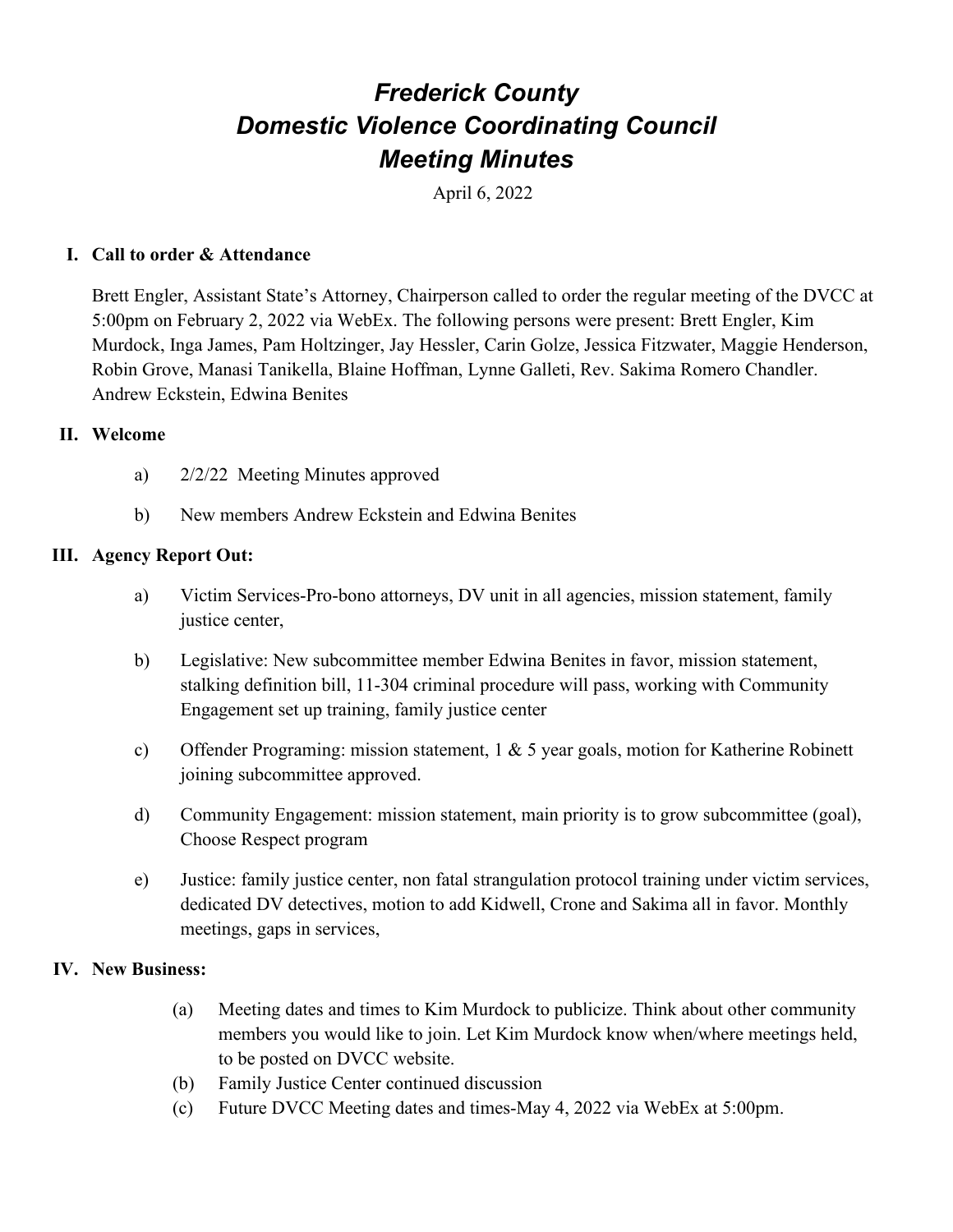# *Frederick County Domestic Violence Coordinating Council Meeting Minutes*

April 6, 2022

### **I. Call to order & Attendance**

Brett Engler, Assistant State's Attorney, Chairperson called to order the regular meeting of the DVCC at 5:00pm on February 2, 2022 via WebEx. The following persons were present: Brett Engler, Kim Murdock, Inga James, Pam Holtzinger, Jay Hessler, Carin Golze, Jessica Fitzwater, Maggie Henderson, Robin Grove, Manasi Tanikella, Blaine Hoffman, Lynne Galleti, Rev. Sakima Romero Chandler. Andrew Eckstein, Edwina Benites

#### **II. Welcome**

- a) 2/2/22 Meeting Minutes approved
- b) New members Andrew Eckstein and Edwina Benites

#### **III. Agency Report Out:**

- a) Victim Services-Pro-bono attorneys, DV unit in all agencies, mission statement, family justice center,
- b) Legislative: New subcommittee member Edwina Benites in favor, mission statement, stalking definition bill, 11-304 criminal procedure will pass, working with Community Engagement set up training, family justice center
- c) Offender Programing: mission statement, 1 & 5 year goals, motion for Katherine Robinett joining subcommittee approved.
- d) Community Engagement: mission statement, main priority is to grow subcommittee (goal), Choose Respect program
- e) Justice: family justice center, non fatal strangulation protocol training under victim services, dedicated DV detectives, motion to add Kidwell, Crone and Sakima all in favor. Monthly meetings, gaps in services,

#### **IV. New Business:**

- (a) Meeting dates and times to Kim Murdock to publicize. Think about other community members you would like to join. Let Kim Murdock know when/where meetings held, to be posted on DVCC website.
- (b) Family Justice Center continued discussion
- (c) Future DVCC Meeting dates and times-May 4, 2022 via WebEx at 5:00pm.